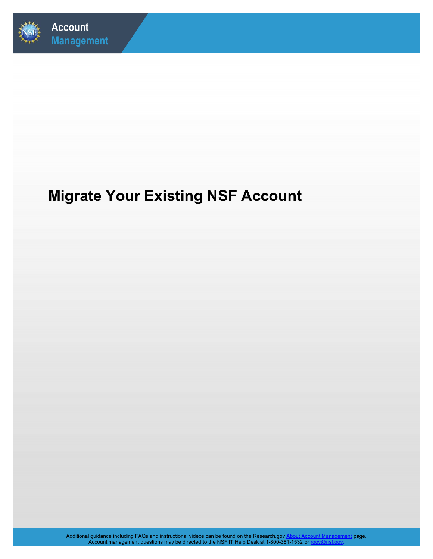

## Migrate Your Existing NSF Account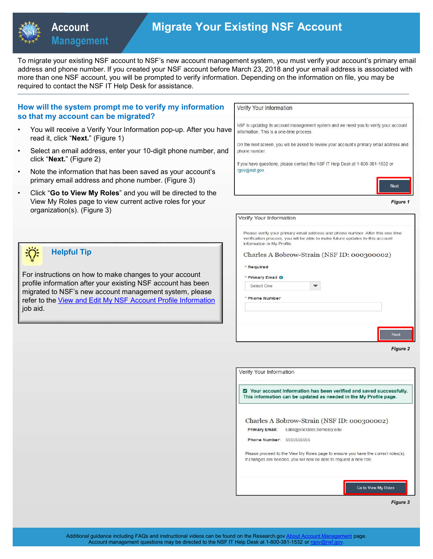

### Migrate Your Existing NSF Account

| <b>Management</b><br>To migrate your existing NSF account to NSF's new account management system, you must verify your account's primary email<br>address and phone number. If you created your NSF account before March 23, 2018 and your email address is associated with<br>more than one NSF account, you will be prompted to verify information. Depending on the information on file, you may be<br>required to contact the NSF IT Help Desk for assistance.<br>How will the system prompt me to verify my information<br>Verify Your Information<br>so that my account can be migrated?<br>NSF is updating its account management system and we need you to verify your account<br>You will receive a Verify Your Information pop-up. After you have<br>information. This is a one-time process.<br>read it, click "Next." (Figure 1)<br>On the next screen, you will be asked to review your account's primary email address and<br>Select an email address, enter your 10-digit phone number, and<br>$\bullet$<br>phone number.<br>click "Next." (Figure 2)<br>If you have questions, please contact the NSF IT Help Desk at 1-800-381-1532 or<br>rgov@nsf.gov.<br>Note the information that has been saved as your account's<br>$\bullet$<br>primary email address and phone number. (Figure 3)<br>Click "Go to View My Roles" and you will be directed to the<br>$\bullet$<br>View My Roles page to view current active roles for your<br><b>Figure 1</b><br>organization(s). (Figure 3)<br>Verify Your Information<br>Please verify your primary email address and phone number. After this one time<br>verification process, you will be able to make future updates to this account<br>information in My Profile.<br><b>Helpful Tip</b><br>Charles A Bobrow-Strain (NSF ID: 000300002)<br>* Required<br>For instructions on how to make changes to your account<br>* Primary Email <sup>O</sup><br>profile information after your existing NSF account has been<br>Select One<br>$\blacktriangledown$<br>migrated to NSF's new account management system, please<br>* Phone Number<br>refer to the View and Edit My NSF Account Profile Information<br>job aid.<br>Next | <b>Account</b> | <b>Migrate Your Existing NSF Account</b>                                                                                                                                                                                                                                                                                                                                                                                                                    |
|---------------------------------------------------------------------------------------------------------------------------------------------------------------------------------------------------------------------------------------------------------------------------------------------------------------------------------------------------------------------------------------------------------------------------------------------------------------------------------------------------------------------------------------------------------------------------------------------------------------------------------------------------------------------------------------------------------------------------------------------------------------------------------------------------------------------------------------------------------------------------------------------------------------------------------------------------------------------------------------------------------------------------------------------------------------------------------------------------------------------------------------------------------------------------------------------------------------------------------------------------------------------------------------------------------------------------------------------------------------------------------------------------------------------------------------------------------------------------------------------------------------------------------------------------------------------------------------------------------------------------------------------------------------------------------------------------------------------------------------------------------------------------------------------------------------------------------------------------------------------------------------------------------------------------------------------------------------------------------------------------------------------------------------------------------------------------------------------------------------------------------------------------------------------------------------|----------------|-------------------------------------------------------------------------------------------------------------------------------------------------------------------------------------------------------------------------------------------------------------------------------------------------------------------------------------------------------------------------------------------------------------------------------------------------------------|
|                                                                                                                                                                                                                                                                                                                                                                                                                                                                                                                                                                                                                                                                                                                                                                                                                                                                                                                                                                                                                                                                                                                                                                                                                                                                                                                                                                                                                                                                                                                                                                                                                                                                                                                                                                                                                                                                                                                                                                                                                                                                                                                                                                                       |                |                                                                                                                                                                                                                                                                                                                                                                                                                                                             |
|                                                                                                                                                                                                                                                                                                                                                                                                                                                                                                                                                                                                                                                                                                                                                                                                                                                                                                                                                                                                                                                                                                                                                                                                                                                                                                                                                                                                                                                                                                                                                                                                                                                                                                                                                                                                                                                                                                                                                                                                                                                                                                                                                                                       |                |                                                                                                                                                                                                                                                                                                                                                                                                                                                             |
|                                                                                                                                                                                                                                                                                                                                                                                                                                                                                                                                                                                                                                                                                                                                                                                                                                                                                                                                                                                                                                                                                                                                                                                                                                                                                                                                                                                                                                                                                                                                                                                                                                                                                                                                                                                                                                                                                                                                                                                                                                                                                                                                                                                       |                |                                                                                                                                                                                                                                                                                                                                                                                                                                                             |
|                                                                                                                                                                                                                                                                                                                                                                                                                                                                                                                                                                                                                                                                                                                                                                                                                                                                                                                                                                                                                                                                                                                                                                                                                                                                                                                                                                                                                                                                                                                                                                                                                                                                                                                                                                                                                                                                                                                                                                                                                                                                                                                                                                                       |                |                                                                                                                                                                                                                                                                                                                                                                                                                                                             |
|                                                                                                                                                                                                                                                                                                                                                                                                                                                                                                                                                                                                                                                                                                                                                                                                                                                                                                                                                                                                                                                                                                                                                                                                                                                                                                                                                                                                                                                                                                                                                                                                                                                                                                                                                                                                                                                                                                                                                                                                                                                                                                                                                                                       |                |                                                                                                                                                                                                                                                                                                                                                                                                                                                             |
|                                                                                                                                                                                                                                                                                                                                                                                                                                                                                                                                                                                                                                                                                                                                                                                                                                                                                                                                                                                                                                                                                                                                                                                                                                                                                                                                                                                                                                                                                                                                                                                                                                                                                                                                                                                                                                                                                                                                                                                                                                                                                                                                                                                       |                |                                                                                                                                                                                                                                                                                                                                                                                                                                                             |
|                                                                                                                                                                                                                                                                                                                                                                                                                                                                                                                                                                                                                                                                                                                                                                                                                                                                                                                                                                                                                                                                                                                                                                                                                                                                                                                                                                                                                                                                                                                                                                                                                                                                                                                                                                                                                                                                                                                                                                                                                                                                                                                                                                                       |                |                                                                                                                                                                                                                                                                                                                                                                                                                                                             |
|                                                                                                                                                                                                                                                                                                                                                                                                                                                                                                                                                                                                                                                                                                                                                                                                                                                                                                                                                                                                                                                                                                                                                                                                                                                                                                                                                                                                                                                                                                                                                                                                                                                                                                                                                                                                                                                                                                                                                                                                                                                                                                                                                                                       |                | Your account information has been verified and saved successfully.<br>This information can be updated as needed in the My Profile page.<br>Charles A Bobrow-Strain (NSF ID: 000300002)<br><b>Primary Email:</b><br>cabs@socrates.berkeley.edu<br>Phone Number: 5555555555<br>Please proceed to the View My Roles page to ensure you have the correct roles(s).<br>If changes are needed, you will now be able to request a new role.<br>Go to View My Roles |